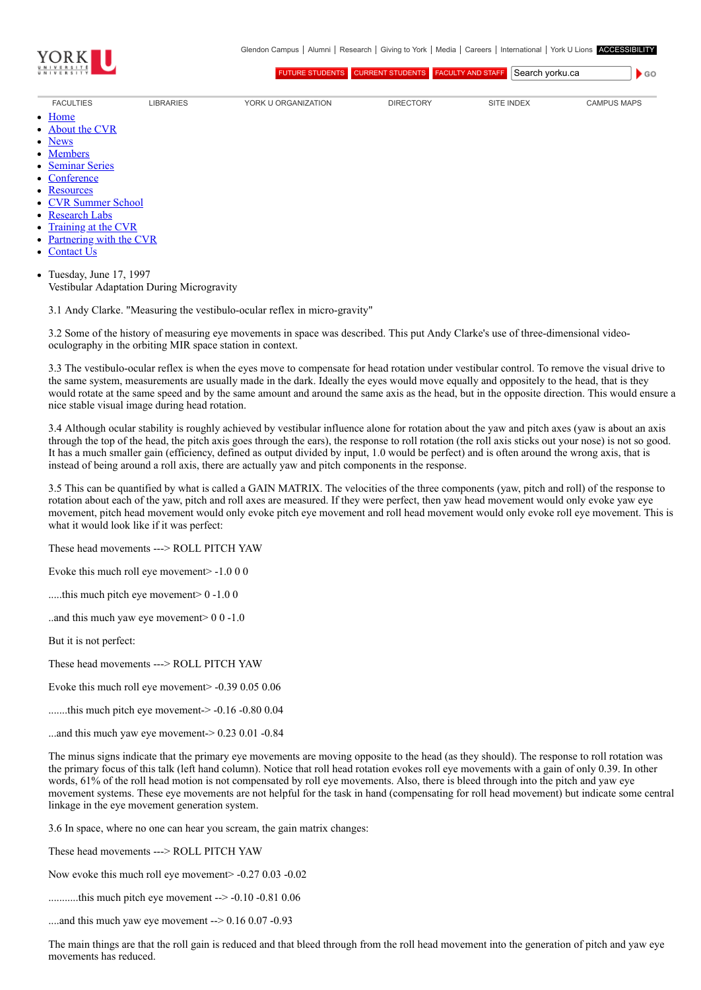

[FUTURE STUDENTS](http://futurestudents.yorku.ca/) [CURRENT STUDENTS](http://www.yorku.ca/yorkweb/cs.htm) [FACULTY AND STAFF](http://www.yorku.ca/yorkweb/fs.htm) Search vorku.ca

- [FACULTIES](http://www.yorku.ca/yorkweb/faculties.htm) [LIBRARIES](http://www.library.yorku.ca/) [YORK U ORGANIZATION](http://www.yorku.ca/yorkweb/org.htm) [DIRECTORY](http://www.yorku.ca/yorkatlas) [SITE INDEX](http://www.yorku.ca/yorkweb/siteindex.htm) [CAMPUS MAPS](http://www.yorku.ca/yorkweb/maps/)
	- **[Home](file:///C:/)**
	- [About the CVR](file:///C:/content/about-cvr)

 $\bullet$  GO

- 
- 
- [News](file:///C:/newslatest)
- **[Members](file:///C:/category/faculty/york-faculty)**  $\bullet$
- $\bullet$ [Seminar Series](file:///C:/content/seminar-series)
- **[Conference](file:///C:/conferencearchive)**
- $\bullet$ **[Resources](file:///C:/content/resources)**
- [CVR Summer School](http://cvrss.info.yorku.ca/)
- [Research Labs](file:///C:/content/research-labs)
- [Training at the CVR](file:///C:/content/training-cvr-0)
- [Partnering with the CVR](file:///C:/content/partnering-cvr-0)
- [Contact Us](file:///C:/content/contact-cvr)

Tuesday, June 17, 1997 Vestibular Adaptation During Microgravity

3.1 Andy Clarke. "Measuring the vestibulo-ocular reflex in micro-gravity"

3.2 Some of the history of measuring eye movements in space was described. This put Andy Clarke's use of three-dimensional videooculography in the orbiting MIR space station in context.

3.3 The vestibulo-ocular reflex is when the eyes move to compensate for head rotation under vestibular control. To remove the visual drive to the same system, measurements are usually made in the dark. Ideally the eyes would move equally and oppositely to the head, that is they would rotate at the same speed and by the same amount and around the same axis as the head, but in the opposite direction. This would ensure a nice stable visual image during head rotation.

3.4 Although ocular stability is roughly achieved by vestibular influence alone for rotation about the yaw and pitch axes (yaw is about an axis through the top of the head, the pitch axis goes through the ears), the response to roll rotation (the roll axis sticks out your nose) is not so good. It has a much smaller gain (efficiency, defined as output divided by input, 1.0 would be perfect) and is often around the wrong axis, that is instead of being around a roll axis, there are actually yaw and pitch components in the response.

3.5 This can be quantified by what is called a GAIN MATRIX. The velocities of the three components (yaw, pitch and roll) of the response to rotation about each of the yaw, pitch and roll axes are measured. If they were perfect, then yaw head movement would only evoke yaw eye movement, pitch head movement would only evoke pitch eye movement and roll head movement would only evoke roll eye movement. This is what it would look like if it was perfect:

These head movements ---> ROLL PITCH YAW

Evoke this much roll eye movement> -1.0 0 0

.....this much pitch eye movement  $> 0 - 1.00$ 

..and this much yaw eye movement> 0 0 -1.0

But it is not perfect:

These head movements ---> ROLL PITCH YAW

Evoke this much roll eye movement> -0.39 0.05 0.06

......this much pitch eye movement-> -0.16 -0.80 0.04

...and this much yaw eye movement-> 0.23 0.01 -0.84

The minus signs indicate that the primary eye movements are moving opposite to the head (as they should). The response to roll rotation was the primary focus of this talk (left hand column). Notice that roll head rotation evokes roll eye movements with a gain of only 0.39. In other words, 61% of the roll head motion is not compensated by roll eye movements. Also, there is bleed through into the pitch and yaw eye movement systems. These eye movements are not helpful for the task in hand (compensating for roll head movement) but indicate some central linkage in the eye movement generation system.

3.6 In space, where no one can hear you scream, the gain matrix changes:

These head movements ---> ROLL PITCH YAW

Now evoke this much roll eye movement > -0.27 0.03 -0.02

...........this much pitch eye movement --> -0.10 -0.81 0.06

....and this much yaw eye movement -- > 0.16 0.07 -0.93

The main things are that the roll gain is reduced and that bleed through from the roll head movement into the generation of pitch and yaw eye movements has reduced.